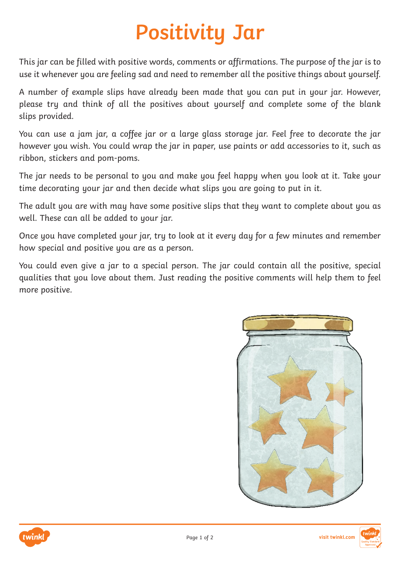## **Positivity Jar**

This jar can be filled with positive words, comments or affirmations. The purpose of the jar is to use it whenever you are feeling sad and need to remember all the positive things about yourself.

A number of example slips have already been made that you can put in your jar. However, please try and think of all the positives about yourself and complete some of the blank slips provided.

You can use a jam jar, a coffee jar or a large glass storage jar. Feel free to decorate the jar however you wish. You could wrap the jar in paper, use paints or add accessories to it, such as ribbon, stickers and pom-poms.

The jar needs to be personal to you and make you feel happy when you look at it. Take your time decorating your jar and then decide what slips you are going to put in it.

The adult you are with may have some positive slips that they want to complete about you as well. These can all be added to your jar.

Once you have completed your jar, try to look at it every day for a few minutes and remember how special and positive you are as a person.

You could even give a jar to a special person. The jar could contain all the positive, special qualities that you love about them. Just reading the positive comments will help them to feel more positive.